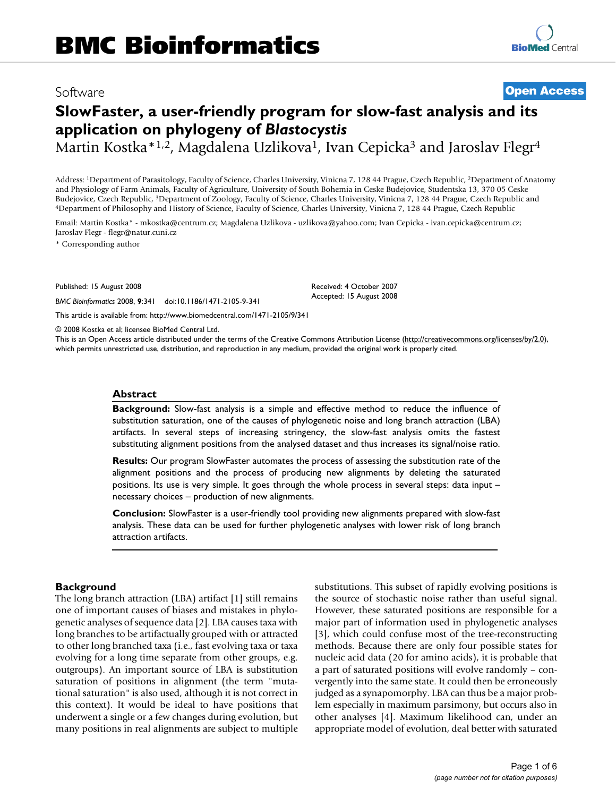# Software **[Open Access](http://www.biomedcentral.com/info/about/charter/)**

# **SlowFaster, a user-friendly program for slow-fast analysis and its application on phylogeny of** *Blastocystis*

Martin Kostka<sup>\*1,2</sup>, Magdalena Uzlikova<sup>1</sup>, Ivan Cepicka<sup>3</sup> and Jaroslav Flegr<sup>4</sup>

Address: 1Department of Parasitology, Faculty of Science, Charles University, Vinicna 7, 128 44 Prague, Czech Republic, 2Department of Anatomy and Physiology of Farm Animals, Faculty of Agriculture, University of South Bohemia in Ceske Budejovice, Studentska 13, 370 05 Ceske Budejovice, Czech Republic, <sup>3</sup>Department of Zoology, Faculty of Science, Charles University, Vinicna 7, 128 44 Prague, Czech Republic and 4Department of Philosophy and History of Science, Faculty of Science, Charles Unive

Email: Martin Kostka\* - mkostka@centrum.cz; Magdalena Uzlikova - uzlikova@yahoo.com; Ivan Cepicka - ivan.cepicka@centrum.cz; Jaroslav Flegr - flegr@natur.cuni.cz

\* Corresponding author

Published: 15 August 2008

*BMC Bioinformatics* 2008, **9**:341 doi:10.1186/1471-2105-9-341

[This article is available from: http://www.biomedcentral.com/1471-2105/9/341](http://www.biomedcentral.com/1471-2105/9/341)

© 2008 Kostka et al; licensee BioMed Central Ltd.

This is an Open Access article distributed under the terms of the Creative Commons Attribution License [\(http://creativecommons.org/licenses/by/2.0\)](http://creativecommons.org/licenses/by/2.0), which permits unrestricted use, distribution, and reproduction in any medium, provided the original work is properly cited.

Received: 4 October 2007 Accepted: 15 August 2008

#### **Abstract**

**Background:** Slow-fast analysis is a simple and effective method to reduce the influence of substitution saturation, one of the causes of phylogenetic noise and long branch attraction (LBA) artifacts. In several steps of increasing stringency, the slow-fast analysis omits the fastest substituting alignment positions from the analysed dataset and thus increases its signal/noise ratio.

**Results:** Our program SlowFaster automates the process of assessing the substitution rate of the alignment positions and the process of producing new alignments by deleting the saturated positions. Its use is very simple. It goes through the whole process in several steps: data input – necessary choices – production of new alignments.

**Conclusion:** SlowFaster is a user-friendly tool providing new alignments prepared with slow-fast analysis. These data can be used for further phylogenetic analyses with lower risk of long branch attraction artifacts.

#### **Background**

The long branch attraction (LBA) artifact [1] still remains one of important causes of biases and mistakes in phylogenetic analyses of sequence data [2]. LBA causes taxa with long branches to be artifactually grouped with or attracted to other long branched taxa (i.e., fast evolving taxa or taxa evolving for a long time separate from other groups, e.g. outgroups). An important source of LBA is substitution saturation of positions in alignment (the term "mutational saturation" is also used, although it is not correct in this context). It would be ideal to have positions that underwent a single or a few changes during evolution, but many positions in real alignments are subject to multiple substitutions. This subset of rapidly evolving positions is the source of stochastic noise rather than useful signal. However, these saturated positions are responsible for a major part of information used in phylogenetic analyses [3], which could confuse most of the tree-reconstructing methods. Because there are only four possible states for nucleic acid data (20 for amino acids), it is probable that a part of saturated positions will evolve randomly – convergently into the same state. It could then be erroneously judged as a synapomorphy. LBA can thus be a major problem especially in maximum parsimony, but occurs also in other analyses [4]. Maximum likelihood can, under an appropriate model of evolution, deal better with saturated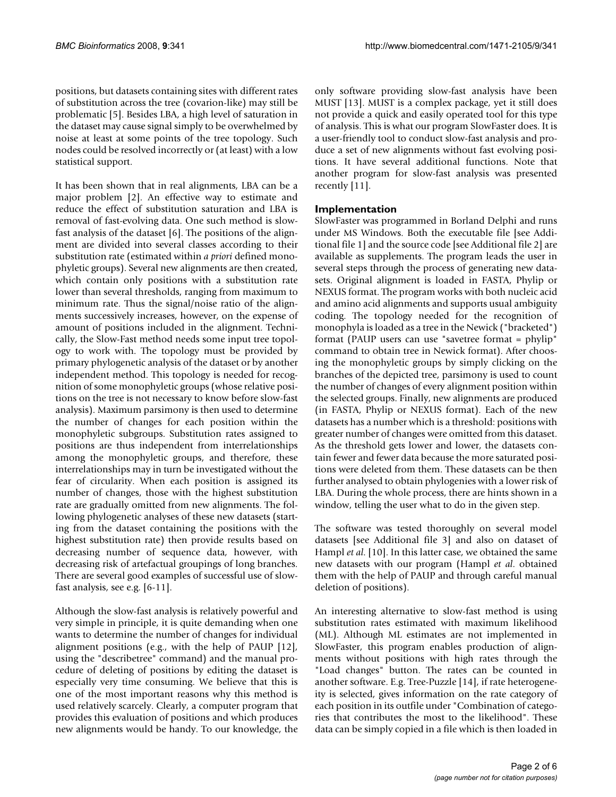positions, but datasets containing sites with different rates of substitution across the tree (covarion-like) may still be problematic [5]. Besides LBA, a high level of saturation in the dataset may cause signal simply to be overwhelmed by noise at least at some points of the tree topology. Such nodes could be resolved incorrectly or (at least) with a low statistical support.

It has been shown that in real alignments, LBA can be a major problem [2]. An effective way to estimate and reduce the effect of substitution saturation and LBA is removal of fast-evolving data. One such method is slowfast analysis of the dataset [6]. The positions of the alignment are divided into several classes according to their substitution rate (estimated within *a priori* defined monophyletic groups). Several new alignments are then created, which contain only positions with a substitution rate lower than several thresholds, ranging from maximum to minimum rate. Thus the signal/noise ratio of the alignments successively increases, however, on the expense of amount of positions included in the alignment. Technically, the Slow-Fast method needs some input tree topology to work with. The topology must be provided by primary phylogenetic analysis of the dataset or by another independent method. This topology is needed for recognition of some monophyletic groups (whose relative positions on the tree is not necessary to know before slow-fast analysis). Maximum parsimony is then used to determine the number of changes for each position within the monophyletic subgroups. Substitution rates assigned to positions are thus independent from interrelationships among the monophyletic groups, and therefore, these interrelationships may in turn be investigated without the fear of circularity. When each position is assigned its number of changes, those with the highest substitution rate are gradually omitted from new alignments. The following phylogenetic analyses of these new datasets (starting from the dataset containing the positions with the highest substitution rate) then provide results based on decreasing number of sequence data, however, with decreasing risk of artefactual groupings of long branches. There are several good examples of successful use of slowfast analysis, see e.g. [6-11].

Although the slow-fast analysis is relatively powerful and very simple in principle, it is quite demanding when one wants to determine the number of changes for individual alignment positions (e.g., with the help of PAUP [12], using the "describetree" command) and the manual procedure of deleting of positions by editing the dataset is especially very time consuming. We believe that this is one of the most important reasons why this method is used relatively scarcely. Clearly, a computer program that provides this evaluation of positions and which produces new alignments would be handy. To our knowledge, the only software providing slow-fast analysis have been MUST [13]. MUST is a complex package, yet it still does not provide a quick and easily operated tool for this type of analysis. This is what our program SlowFaster does. It is a user-friendly tool to conduct slow-fast analysis and produce a set of new alignments without fast evolving positions. It have several additional functions. Note that another program for slow-fast analysis was presented recently [11].

# **Implementation**

SlowFaster was programmed in Borland Delphi and runs under MS Windows. Both the executable file [see Additional file 1] and the source code [see Additional file 2] are available as supplements. The program leads the user in several steps through the process of generating new datasets. Original alignment is loaded in FASTA, Phylip or NEXUS format. The program works with both nucleic acid and amino acid alignments and supports usual ambiguity coding. The topology needed for the recognition of monophyla is loaded as a tree in the Newick ("bracketed") format (PAUP users can use "savetree format = phylip" command to obtain tree in Newick format). After choosing the monophyletic groups by simply clicking on the branches of the depicted tree, parsimony is used to count the number of changes of every alignment position within the selected groups. Finally, new alignments are produced (in FASTA, Phylip or NEXUS format). Each of the new datasets has a number which is a threshold: positions with greater number of changes were omitted from this dataset. As the threshold gets lower and lower, the datasets contain fewer and fewer data because the more saturated positions were deleted from them. These datasets can be then further analysed to obtain phylogenies with a lower risk of LBA. During the whole process, there are hints shown in a window, telling the user what to do in the given step.

The software was tested thoroughly on several model datasets [see Additional file 3] and also on dataset of Hampl *et al*. [\[10](#page-5-0)]. In this latter case, we obtained the same new datasets with our program (Hampl *et al*. obtained them with the help of PAUP and through careful manual deletion of positions).

An interesting alternative to slow-fast method is using substitution rates estimated with maximum likelihood (ML). Although ML estimates are not implemented in SlowFaster, this program enables production of alignments without positions with high rates through the "Load changes" button. The rates can be counted in another software. E.g. Tree-Puzzle [14], if rate heterogeneity is selected, gives information on the rate category of each position in its outfile under "Combination of categories that contributes the most to the likelihood". These data can be simply copied in a file which is then loaded in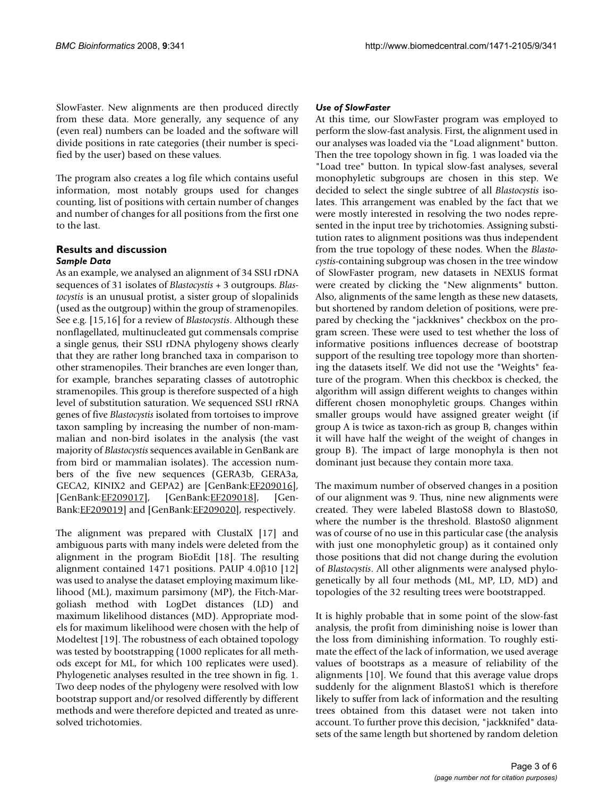SlowFaster. New alignments are then produced directly from these data. More generally, any sequence of any (even real) numbers can be loaded and the software will divide positions in rate categories (their number is specified by the user) based on these values.

The program also creates a log file which contains useful information, most notably groups used for changes counting, list of positions with certain number of changes and number of changes for all positions from the first one to the last.

#### **Results and discussion** *Sample Data*

As an example, we analysed an alignment of 34 SSU rDNA sequences of 31 isolates of *Blastocystis* + 3 outgroups. *Blastocystis* is an unusual protist, a sister group of slopalinids (used as the outgroup) within the group of stramenopiles. See e.g. [15,16] for a review of *Blastocystis*. Although these nonflagellated, multinucleated gut commensals comprise a single genus, their SSU rDNA phylogeny shows clearly that they are rather long branched taxa in comparison to other stramenopiles. Their branches are even longer than, for example, branches separating classes of autotrophic stramenopiles. This group is therefore suspected of a high level of substitution saturation. We sequenced SSU rRNA genes of five *Blastocystis* isolated from tortoises to improve taxon sampling by increasing the number of non-mammalian and non-bird isolates in the analysis (the vast majority of *Blastocystis* sequences available in GenBank are from bird or mammalian isolates). The accession numbers of the five new sequences (GERA3b, GERA3a, GECA2, KINIX2 and GEPA2) are [GenBank[:EF209016\]](http://www.ncbi.nih.gov/entrez/query.fcgi?db=Nucleotide&cmd=search&term=EF209016), [GenBank:[EF209017](http://www.ncbi.nih.gov/entrez/query.fcgi?db=Nucleotide&cmd=search&term=EF209017)], [GenBank[:EF209018\]](http://www.ncbi.nih.gov/entrez/query.fcgi?db=Nucleotide&cmd=search&term=EF209018), [Gen-Bank:[EF209019](http://www.ncbi.nih.gov/entrez/query.fcgi?db=Nucleotide&cmd=search&term=EF209019)] and [GenBank:[EF209020](http://www.ncbi.nih.gov/entrez/query.fcgi?db=Nucleotide&cmd=search&term=EF209020)], respectively.

The alignment was prepared with ClustalX [17] and ambiguous parts with many indels were deleted from the alignment in the program BioEdit [18]. The resulting alignment contained 1471 positions. PAUP 4.0β10 [12] was used to analyse the dataset employing maximum likelihood (ML), maximum parsimony (MP), the Fitch-Margoliash method with LogDet distances (LD) and maximum likelihood distances (MD). Appropriate models for maximum likelihood were chosen with the help of Modeltest [19]. The robustness of each obtained topology was tested by bootstrapping (1000 replicates for all methods except for ML, for which 100 replicates were used). Phylogenetic analyses resulted in the tree shown in fig. 1. Two deep nodes of the phylogeny were resolved with low bootstrap support and/or resolved differently by different methods and were therefore depicted and treated as unresolved trichotomies.

#### *Use of SlowFaster*

At this time, our SlowFaster program was employed to perform the slow-fast analysis. First, the alignment used in our analyses was loaded via the "Load alignment" button. Then the tree topology shown in fig. 1 was loaded via the "Load tree" button. In typical slow-fast analyses, several monophyletic subgroups are chosen in this step. We decided to select the single subtree of all *Blastocystis* isolates. This arrangement was enabled by the fact that we were mostly interested in resolving the two nodes represented in the input tree by trichotomies. Assigning substitution rates to alignment positions was thus independent from the true topology of these nodes. When the *Blastocystis*-containing subgroup was chosen in the tree window of SlowFaster program, new datasets in NEXUS format were created by clicking the "New alignments" button. Also, alignments of the same length as these new datasets, but shortened by random deletion of positions, were prepared by checking the "jackknives" checkbox on the program screen. These were used to test whether the loss of informative positions influences decrease of bootstrap support of the resulting tree topology more than shortening the datasets itself. We did not use the "Weights" feature of the program. When this checkbox is checked, the algorithm will assign different weights to changes within different chosen monophyletic groups. Changes within smaller groups would have assigned greater weight (if group A is twice as taxon-rich as group B, changes within it will have half the weight of the weight of changes in group B). The impact of large monophyla is then not dominant just because they contain more taxa.

The maximum number of observed changes in a position of our alignment was 9. Thus, nine new alignments were created. They were labeled BlastoS8 down to BlastoS0, where the number is the threshold. BlastoS0 alignment was of course of no use in this particular case (the analysis with just one monophyletic group) as it contained only those positions that did not change during the evolution of *Blastocystis*. All other alignments were analysed phylogenetically by all four methods (ML, MP, LD, MD) and topologies of the 32 resulting trees were bootstrapped.

It is highly probable that in some point of the slow-fast analysis, the profit from diminishing noise is lower than the loss from diminishing information. To roughly estimate the effect of the lack of information, we used average values of bootstraps as a measure of reliability of the alignments [\[10\]](#page-5-0). We found that this average value drops suddenly for the alignment BlastoS1 which is therefore likely to suffer from lack of information and the resulting trees obtained from this dataset were not taken into account. To further prove this decision, "jackknifed" datasets of the same length but shortened by random deletion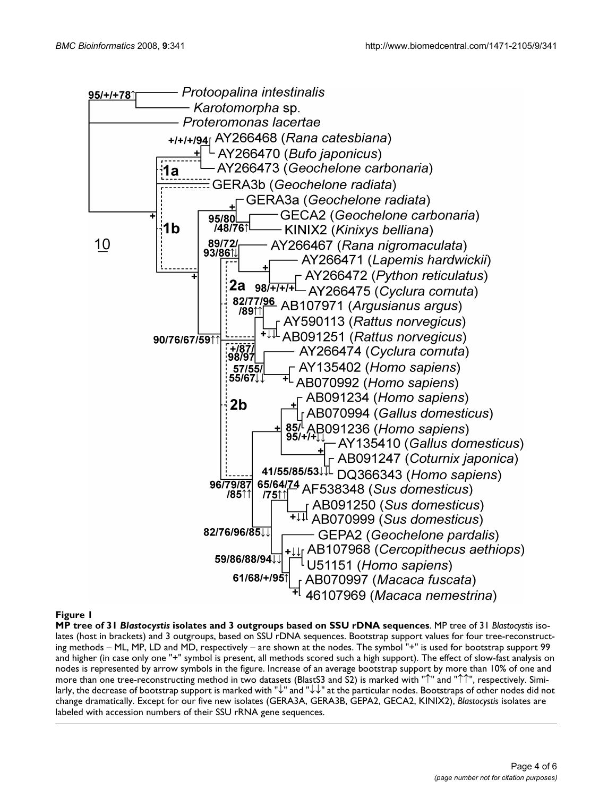

# **Figure 1** MP tree of 31  $B$ lastocystis  $\mathbf{S}$  is outgroups based on SSU rDNA sequences and 3 outgroups based on SSU rDNA sequences and 3 outgroups based on SSU rDNA sequences and 3 outgroups based on SSU rDNA sequences

**MP tree of 31** *Blastocystis* **isolates and 3 outgroups based on SSU rDNA sequences**. MP tree of 31 *Blastocystis* isolates (host in brackets) and 3 outgroups, based on SSU rDNA sequences. Bootstrap support values for four tree-reconstructing methods – ML, MP, LD and MD, respectively – are shown at the nodes. The symbol "+" is used for bootstrap support 99 and higher (in case only one "+" symbol is present, all methods scored such a high support). The effect of slow-fast analysis on nodes is represented by arrow symbols in the figure. Increase of an average bootstrap support by more than 10% of one and more than one tree-reconstructing method in two datasets (BlastS3 and S2) is marked with "↑" and "↑↑", respectively. Similarly, the decrease of bootstrap support is marked with "↓" and "↓↓" at the particular nodes. Bootstraps of other nodes did not change dramatically. Except for our five new isolates (GERA3A, GERA3B, GEPA2, GECA2, KINIX2), *Blastocystis* isolates are labeled with accession numbers of their SSU rRNA gene sequences.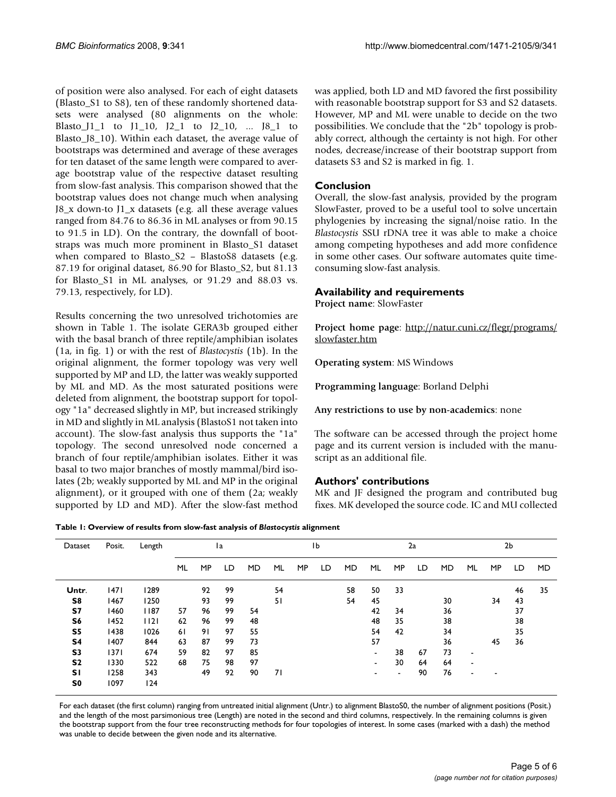of position were also analysed. For each of eight datasets (Blasto\_S1 to S8), ten of these randomly shortened datasets were analysed (80 alignments on the whole: Blasto\_J1\_1 to J1\_10, J2\_1 to J2\_10, ... J8\_1 to Blasto\_J8\_10). Within each dataset, the average value of bootstraps was determined and average of these averages for ten dataset of the same length were compared to average bootstrap value of the respective dataset resulting from slow-fast analysis. This comparison showed that the bootstrap values does not change much when analysing J8\_x down-to J1\_x datasets (e.g. all these average values ranged from 84.76 to 86.36 in ML analyses or from 90.15 to 91.5 in LD). On the contrary, the downfall of bootstraps was much more prominent in Blasto\_S1 dataset when compared to Blasto  $S2$  – BlastoS8 datasets (e.g. 87.19 for original dataset, 86.90 for Blasto\_S2, but 81.13 for Blasto\_S1 in ML analyses, or 91.29 and 88.03 vs. 79.13, respectively, for LD).

Results concerning the two unresolved trichotomies are shown in Table 1. The isolate GERA3b grouped either with the basal branch of three reptile/amphibian isolates (1a, in fig. 1) or with the rest of *Blastocystis* (1b). In the original alignment, the former topology was very well supported by MP and LD, the latter was weakly supported by ML and MD. As the most saturated positions were deleted from alignment, the bootstrap support for topology "1a" decreased slightly in MP, but increased strikingly in MD and slightly in ML analysis (BlastoS1 not taken into account). The slow-fast analysis thus supports the "1a" topology. The second unresolved node concerned a branch of four reptile/amphibian isolates. Either it was basal to two major branches of mostly mammal/bird isolates (2b; weakly supported by ML and MP in the original alignment), or it grouped with one of them (2a; weakly supported by LD and MD). After the slow-fast method was applied, both LD and MD favored the first possibility with reasonable bootstrap support for S3 and S2 datasets. However, MP and ML were unable to decide on the two possibilities. We conclude that the "2b" topology is probably correct, although the certainty is not high. For other nodes, decrease/increase of their bootstrap support from datasets S3 and S2 is marked in fig. 1.

# **Conclusion**

Overall, the slow-fast analysis, provided by the program SlowFaster, proved to be a useful tool to solve uncertain phylogenies by increasing the signal/noise ratio. In the *Blastocystis* SSU rDNA tree it was able to make a choice among competing hypotheses and add more confidence in some other cases. Our software automates quite timeconsuming slow-fast analysis.

# **Availability and requirements**

**Project name**: SlowFaster

**Project home page**: [http://natur.cuni.cz/flegr/programs/](http://natur.cuni.cz/flegr/programs/slowfaster.htm) [slowfaster.htm](http://natur.cuni.cz/flegr/programs/slowfaster.htm)

**Operating system**: MS Windows

**Programming language**: Borland Delphi

**Any restrictions to use by non-academics**: none

The software can be accessed through the project home page and its current version is included with the manuscript as an additional file.

# **Authors' contributions**

MK and JF designed the program and contributed bug fixes. MK developed the source code. IC and MU collected

**Table 1: Overview of results from slow-fast analysis of** *Blastocystis* **alignment**

| Dataset        | Posit. | Length | 1a        |    |    |    | Ib |    |     |           | 2a                       |                          |    |           | 2 <sub>b</sub> |    |    |           |
|----------------|--------|--------|-----------|----|----|----|----|----|-----|-----------|--------------------------|--------------------------|----|-----------|----------------|----|----|-----------|
|                |        |        | <b>ML</b> | MP | LD | MD | ML | MP | LD. | <b>MD</b> | <b>ML</b>                | <b>MP</b>                | LD | <b>MD</b> | <b>ML</b>      | MP | LD | <b>MD</b> |
| Untr.          | 1471   | 1289   |           | 92 | 99 |    | 54 |    |     | 58        | 50                       | 33                       |    |           |                |    | 46 | 35        |
| S8             | 1467   | 1250   |           | 93 | 99 |    | 51 |    |     | 54        | 45                       |                          |    | 30        |                | 34 | 43 |           |
| S7             | 1460   | 87     | 57        | 96 | 99 | 54 |    |    |     |           | 42                       | 34                       |    | 36        |                |    | 37 |           |
| S6             | 1452   | 1121   | 62        | 96 | 99 | 48 |    |    |     |           | 48                       | 35                       |    | 38        |                |    | 38 |           |
| S5             | 1438   | 1026   | 61        | 91 | 97 | 55 |    |    |     |           | 54                       | 42                       |    | 34        |                |    | 35 |           |
| S <sub>4</sub> | 1407   | 844    | 63        | 87 | 99 | 73 |    |    |     |           | 57                       |                          |    | 36        |                | 45 | 36 |           |
| S3             | 1371   | 674    | 59        | 82 | 97 | 85 |    |    |     |           | $\blacksquare$           | 38                       | 67 | 73        | ٠              |    |    |           |
| S <sub>2</sub> | 1330   | 522    | 68        | 75 | 98 | 97 |    |    |     |           | $\overline{\phantom{a}}$ | 30                       | 64 | 64        | -              |    |    |           |
| SΙ             | 1258   | 343    |           | 49 | 92 | 90 | 71 |    |     |           | $\overline{\phantom{a}}$ | $\overline{\phantom{a}}$ | 90 | 76        | -              |    |    |           |
| S <sub>0</sub> | 1097   | 124    |           |    |    |    |    |    |     |           |                          |                          |    |           |                |    |    |           |

For each dataset (the first column) ranging from untreated initial alignment (Untr.) to alignment BlastoS0, the number of alignment positions (Posit.) and the length of the most parsimonious tree (Length) are noted in the second and third columns, respectively. In the remaining columns is given the bootstrap support from the four tree reconstructing methods for four topologies of interest. In some cases (marked with a dash) the method was unable to decide between the given node and its alternative.